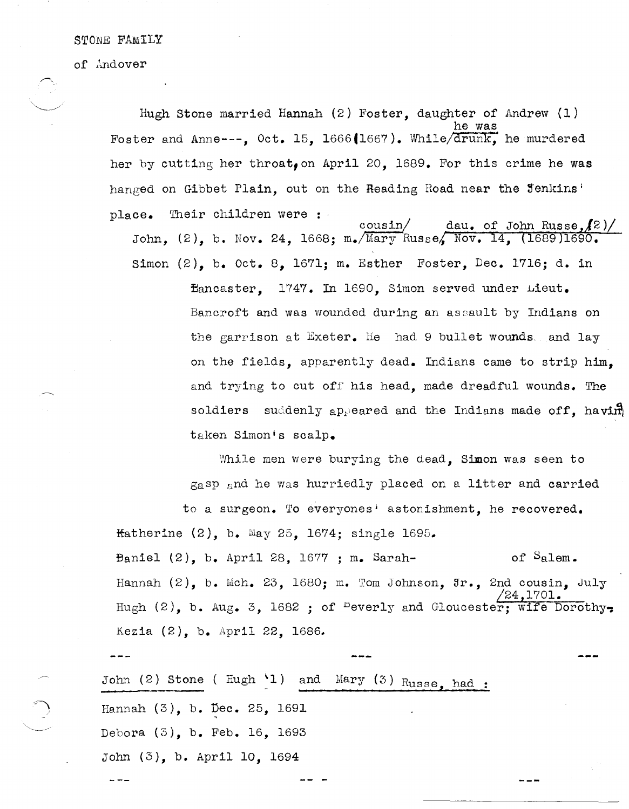STONE FAMILY

of Andover

Hugh stone married Hannah (2) Foster, daughter of Andrew (1) he was Foster and Anne---,  $0ct. 15$ , 1666(1667). While/drunk, he murdered her by cutting her throat, on April 20, 1689. For this crime he was hanged on Gibbet Plain, out on the Reading Road near the Jenkins' place. Their children were :

dau. of John Russe,  $(2)$ cousin John, (2), b. Nov. 24, 1668; m. Mary Russe, Nov. 14, (1689)1690. Simon (2), b. Oct. 8, 1671; m. Esther Foster, Dec. 1716; d. in Bancaster, 1747. In 1690, Simon served under Lieut. Bancroft and was wounded during an assault by Indians on the garrison at Exeter. He had 9 bullet wounds and lay on the fields, apparently dead. Indians came to strip him, and trying to cut off' his head, made dreadful wounds. The soldiers suddenly appeared and the Indians made off, having taken Simonis scalp.

While men were burying the dead, Simon was seen to gasp and he was hurriedly placed on a litter and carried

to a surgeon. To everyones' astonishment, he recovered. Hatherine  $(2)$ , b. May 25, 1674; single 1695.

Baniel  $(2)$ , b. April 28, 1677 ; m. Sarah- of Salem. Hannah  $(2)$ , b. Mch. 23, 1680; m. Tom Johnson,  $\mathfrak{Ir}_2$ , 2nd cousin, July /24,1701. Hugh  $(2)$ , b. Aug. 3, 1682 ; of <sup>D</sup>everly and Gloucester; wife Dorothy-Kezia (2), b. April 22, 1686\_

John (2) Stone ( $\text{Hugh } \{1\}$  and  $\text{Mary } (3)$   $\text{Russe, had :}$ Hannah (3), b. Dec. 25, 1691 Debora (3), b. Feb. 16, 1693 John (3), b. April 10, 1694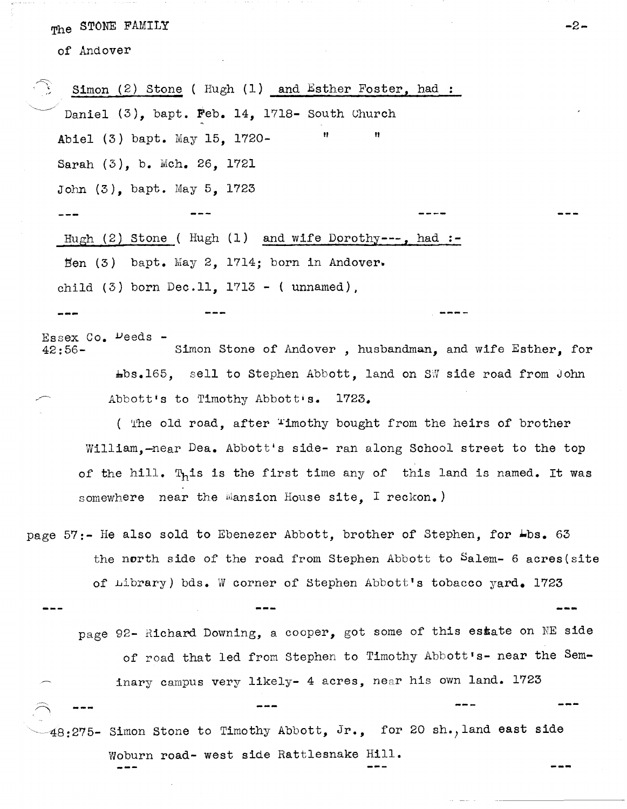The STONE FAMILY

of Andover

 $R_{\rm DM}$  or an area.

|                                                                                           | Simon $(2)$ Stone (Hugh $(1)$ and Esther Foster, had :                 |                                                                              |  |  |
|-------------------------------------------------------------------------------------------|------------------------------------------------------------------------|------------------------------------------------------------------------------|--|--|
|                                                                                           | Daniel $(3)$ , bapt. Feb. 14, 1718- South Church                       |                                                                              |  |  |
|                                                                                           | Abiel (3) bapt. May 15, 1720-                                          | n<br>Ħ                                                                       |  |  |
|                                                                                           | Sarah (3), b. Mch. 26, 1721                                            |                                                                              |  |  |
|                                                                                           | John $(3)$ , bapt. May 5, 1723                                         |                                                                              |  |  |
|                                                                                           |                                                                        |                                                                              |  |  |
|                                                                                           | Hugh $(2)$ Stone (Hugh $(1)$ and wife Dorothy---, had :-               |                                                                              |  |  |
|                                                                                           | Ben $(3)$ bapt. May 2, 1714; born in Andover.                          |                                                                              |  |  |
|                                                                                           | child $(3)$ born Dec.11, 1713 - (unnamed).                             |                                                                              |  |  |
|                                                                                           |                                                                        |                                                                              |  |  |
| Essex Co. Deeds -<br>Simon Stone of Andover, husbandman, and wife Esther, for<br>$42:56-$ |                                                                        |                                                                              |  |  |
|                                                                                           |                                                                        | $\texttt{\#bs-165}$ , sell to Stephen Abbott, land on SW side road from John |  |  |
| Abbott's to Timothy Abbott's. 1723.                                                       |                                                                        |                                                                              |  |  |
|                                                                                           | ( The old road, after "imothy bought from the heirs of brother         |                                                                              |  |  |
|                                                                                           | William, -near Dea. Abbott's side- ran along School street to the top  |                                                                              |  |  |
|                                                                                           | of the hill. This is the first time any of this land is named. It was  |                                                                              |  |  |
|                                                                                           | somewhere near the Mansion House site, I reckon.)                      |                                                                              |  |  |
| page 57:- He also sold to Ebenezer Abbott, brother of Stephen, for Lbs. 63                |                                                                        |                                                                              |  |  |
| the north side of the road from Stephen Abbott to Salem- 6 acres(site                     |                                                                        |                                                                              |  |  |
|                                                                                           |                                                                        | of Library) bds. W corner of Stephen Abbott's tobacco yard. 1723             |  |  |
|                                                                                           |                                                                        |                                                                              |  |  |
|                                                                                           | page 92- Richard Downing, a cooper, got some of this estate on NE side |                                                                              |  |  |
|                                                                                           |                                                                        | of road that led from Stephen to Timothy Abbott's- near the Sem-             |  |  |
|                                                                                           |                                                                        | inary campus very likely- 4 acres, near his own land. 1723                   |  |  |
|                                                                                           |                                                                        |                                                                              |  |  |
| $48:275$ - Simon Stone to Timothy Abbott, Jr., for 20 sh., land east side                 |                                                                        |                                                                              |  |  |
|                                                                                           |                                                                        | Woburn road- west side Rattlesnake Hill.                                     |  |  |
|                                                                                           |                                                                        |                                                                              |  |  |

**-2-**